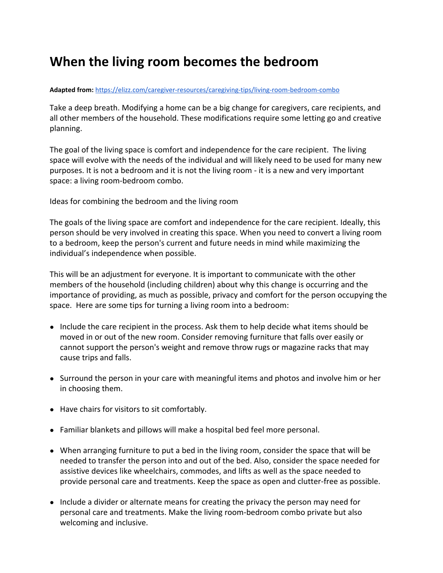## **When the living room becomes the bedroom**

## Adapted from: <https://elizz.com/caregiver-resources/caregiving-tips/living-room-bedroom-combo>

Take a deep breath. Modifying a home can be a big change for caregivers, care recipients, and all other members of the household. These modifications require some letting go and creative planning.

The goal of the living space is comfort and independence for the care recipient. The living space will evolve with the needs of the individual and will likely need to be used for many new purposes. It is not a bedroom and it is not the living room - it is a new and very important space: a living room-bedroom combo.

Ideas for combining the bedroom and the living room

The goals of the living space are comfort and independence for the care recipient. Ideally, this person should be very involved in creating this space. When you need to convert a living room to a bedroom, keep the person's current and future needs in mind while maximizing the individual's independence when possible.

This will be an adjustment for everyone. It is important to communicate with the other members of the household (including children) about why this change is occurring and the importance of providing, as much as possible, privacy and comfort for the person occupying the space. Here are some tips for turning a living room into a bedroom:

- Include the care recipient in the process. Ask them to help decide what items should be moved in or out of the new room. Consider removing furniture that falls over easily or cannot support the person's weight and remove throw rugs or magazine racks that may cause trips and falls.
- Surround the person in your care with meaningful items and photos and involve him or her in choosing them.
- Have chairs for visitors to sit comfortably.
- Familiar blankets and pillows will make a hospital bed feel more personal.
- When arranging furniture to put a bed in the living room, consider the space that will be needed to transfer the person into and out of the bed. Also, consider the space needed for assistive devices like wheelchairs, commodes, and lifts as well as the space needed to provide personal care and treatments. Keep the space as open and clutter-free as possible.
- Include a divider or alternate means for creating the privacy the person may need for personal care and treatments. Make the living room-bedroom combo private but also welcoming and inclusive.